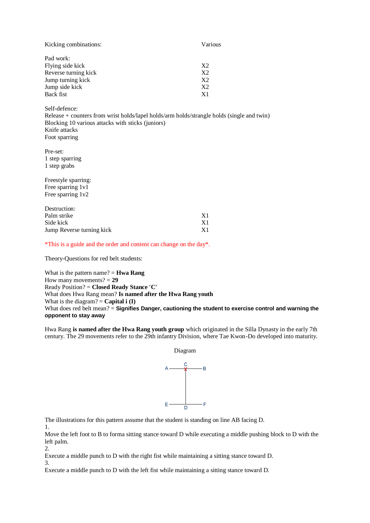| Kicking combinations: | Various        |
|-----------------------|----------------|
| Pad work:             |                |
| Flying side kick      | X2             |
| Reverse turning kick  | X2             |
| Jump turning kick     | X2             |
| Jump side kick        | X2             |
| Back fist             | X <sub>1</sub> |

Self-defence:

Release + counters from wrist holds/lapel holds/arm holds/strangle holds (single and twin) Blocking 10 various attacks with sticks (juniors) Knife attacks Foot sparring

Pre-set: 1 step sparring 1 step grabs

Freestyle sparring: Free sparring 1v1 Free sparring 1v2

| Destruction:              |                |
|---------------------------|----------------|
| Palm strike               | X <sub>1</sub> |
| Side kick                 | X1             |
| Jump Reverse turning kick | X1             |

\*This is a guide and the order and content can change on the day\*.

Theory-Questions for red belt students:

What is the pattern name? = **Hwa Rang** How many movements? = **29** Ready Position? = **Closed Ready Stance 'C'** What does Hwa Rang mean? **Is named after the Hwa Rang youth** What is the diagram?  $=$  **Capital i (I)** What does red belt mean? = Signifies Danger, cautioning the student to exercise control and warning the **opponent to stay away**

Hwa Rang **is named after the Hwa Rang youth group** which originated in the Silla Dynasty in the early 7th century. The 29 movements refer to the 29th infantry Division, where Tae Kwon-Do developed into maturity.



The illustrations for this pattern assume that the student is standing on line AB facing D.

Move the left foot to B to forma sitting stance toward D while executing a middle pushing block to D with the left palm. 2.

Execute a middle punch to D with the right fist while maintaining a sitting stance toward D.

3.

1.

Execute a middle punch to D with the left fist while maintaining a sitting stance toward D.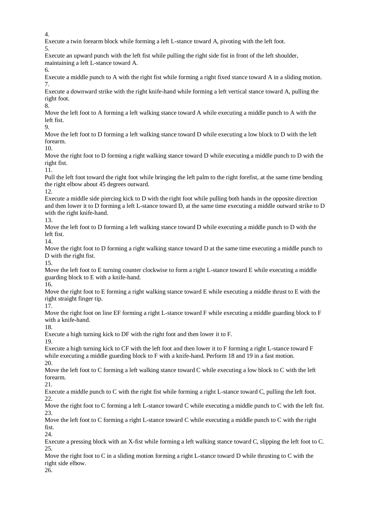4.

Execute a twin forearm block while forming a left L-stance toward A, pivoting with the left foot.

5.

Execute an upward punch with the left fist while pulling the right side fist in front of the left shoulder, maintaining a left L-stance toward A.

6.

Execute a middle punch to A with the right fist while forming a right fixed stance toward A in a sliding motion. 7.

Execute a downward strike with the right knife-hand while forming a left vertical stance toward A, pulling the right foot.

8.

Move the left foot to A forming a left walking stance toward A while executing a middle punch to A with the left fist.

9.

Move the left foot to D forming a left walking stance toward D while executing a low block to D with the left forearm.

10.

Move the right foot to D forming a right walking stance toward D while executing a middle punch to D with the right fist.

11.

Pull the left foot toward the right foot while bringing the left palm to the right forefist, at the same time bending the right elbow about 45 degrees outward.

12.

Execute a middle side piercing kick to D with the right foot while pulling both hands in the opposite direction and then lower it to D forming a left L-stance toward D, at the same time executing a middle outward strike to D with the right knife-hand.

13.

Move the left foot to D forming a left walking stance toward D while executing a middle punch to D with the left fist.

14.

Move the right foot to D forming a right walking stance toward D at the same time executing a middle punch to D with the right fist.

15.

Move the left foot to E turning counter clockwise to form a right L-stance toward E while executing a middle guarding block to E with a knife-hand.

16.

Move the right foot to E forming a right walking stance toward E while executing a middle thrust to E with the right straight finger tip.

17.

Move the right foot on line EF forming a right L-stance toward F while executing a middle guarding block to F with a knife-hand.

18.

Execute a high turning kick to DF with the right foot and then lower it to F.

19.

Execute a high turning kick to CF with the left foot and then lower it to F forming a right L-stance toward F while executing a middle guarding block to F with a knife-hand. Perform 18 and 19 in a fast motion. 20.

Move the left foot to C forming a left walking stance toward C while executing a low block to C with the left forearm.

21.

Execute a middle punch to C with the right fist while forming a right L-stance toward C, pulling the left foot. 22.

Move the right foot to C forming a left L-stance toward C while executing a middle punch to C with the left fist. 23.

Move the left foot to C forming a right L-stance toward C while executing a middle punch to C with the right fist.

24.

Execute a pressing block with an X-fist while forming a left walking stance toward C, slipping the left foot to C. 25.

Move the right foot to C in a sliding motion forming a right L-stance toward D while thrusting to C with the right side elbow.

26.